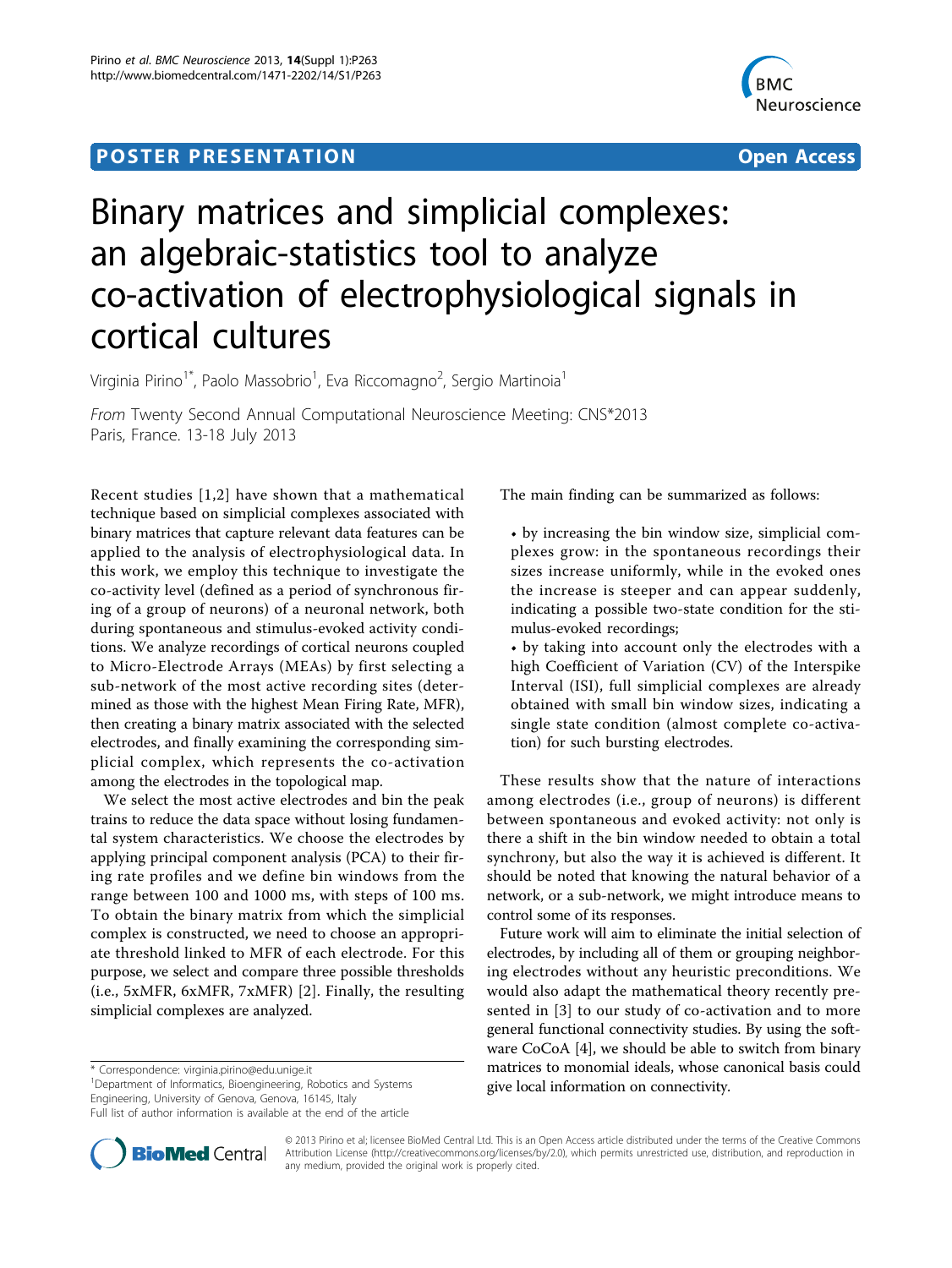## **POSTER PRESENTATION CONSUMING THE SERVICE SERVICE SERVICES**



# Binary matrices and simplicial complexes: an algebraic-statistics tool to analyze co-activation of electrophysiological signals in cortical cultures

Virginia Pirino<sup>1\*</sup>, Paolo Massobrio<sup>1</sup>, Eva Riccomagno<sup>2</sup>, Sergio Martinoia<sup>1</sup>

From Twenty Second Annual Computational Neuroscience Meeting: CNS\*2013 Paris, France. 13-18 July 2013

Recent studies [[1,2\]](#page-1-0) have shown that a mathematical technique based on simplicial complexes associated with binary matrices that capture relevant data features can be applied to the analysis of electrophysiological data. In this work, we employ this technique to investigate the co-activity level (defined as a period of synchronous firing of a group of neurons) of a neuronal network, both during spontaneous and stimulus-evoked activity conditions. We analyze recordings of cortical neurons coupled to Micro-Electrode Arrays (MEAs) by first selecting a sub-network of the most active recording sites (determined as those with the highest Mean Firing Rate, MFR), then creating a binary matrix associated with the selected electrodes, and finally examining the corresponding simplicial complex, which represents the co-activation among the electrodes in the topological map.

We select the most active electrodes and bin the peak trains to reduce the data space without losing fundamental system characteristics. We choose the electrodes by applying principal component analysis (PCA) to their firing rate profiles and we define bin windows from the range between 100 and 1000 ms, with steps of 100 ms. To obtain the binary matrix from which the simplicial complex is constructed, we need to choose an appropriate threshold linked to MFR of each electrode. For this purpose, we select and compare three possible thresholds (i.e., 5xMFR, 6xMFR, 7xMFR) [[2\]](#page-1-0). Finally, the resulting simplicial complexes are analyzed.

\* Correspondence: [virginia.pirino@edu.unige.it](mailto:virginia.pirino@edu.unige.it)

<sup>1</sup>Department of Informatics, Bioengineering, Robotics and Systems Engineering, University of Genova, Genova, 16145, Italy



• by increasing the bin window size, simplicial complexes grow: in the spontaneous recordings their sizes increase uniformly, while in the evoked ones the increase is steeper and can appear suddenly, indicating a possible two-state condition for the stimulus-evoked recordings;

• by taking into account only the electrodes with a high Coefficient of Variation (CV) of the Interspike Interval (ISI), full simplicial complexes are already obtained with small bin window sizes, indicating a single state condition (almost complete co-activation) for such bursting electrodes.

These results show that the nature of interactions among electrodes (i.e., group of neurons) is different between spontaneous and evoked activity: not only is there a shift in the bin window needed to obtain a total synchrony, but also the way it is achieved is different. It should be noted that knowing the natural behavior of a network, or a sub-network, we might introduce means to control some of its responses.

Future work will aim to eliminate the initial selection of electrodes, by including all of them or grouping neighboring electrodes without any heuristic preconditions. We would also adapt the mathematical theory recently presented in [[3](#page-1-0)] to our study of co-activation and to more general functional connectivity studies. By using the software CoCoA [[4\]](#page-1-0), we should be able to switch from binary matrices to monomial ideals, whose canonical basis could give local information on connectivity.



© 2013 Pirino et al; licensee BioMed Central Ltd. This is an Open Access article distributed under the terms of the Creative Commons Attribution License [\(http://creativecommons.org/licenses/by/2.0](http://creativecommons.org/licenses/by/2.0)), which permits unrestricted use, distribution, and reproduction in any medium, provided the original work is properly cited.

Full list of author information is available at the end of the article